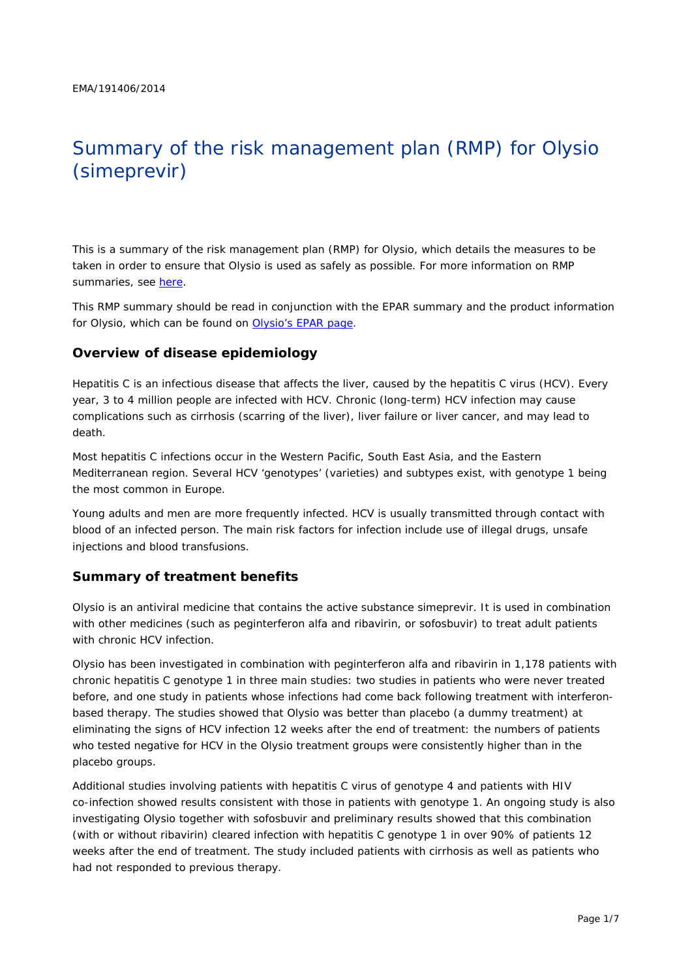# Summary of the risk management plan (RMP) for Olysio (simeprevir)

This is a summary of the risk management plan (RMP) for Olysio, which details the measures to be taken in order to ensure that Olysio is used as safely as possible. For more information on RMP summaries, see [here.](http://www.ema.europa.eu/docs/en_GB/document_library/Other/2014/05/WC500166101.pdf)

This RMP summary should be read in conjunction with the EPAR summary and the product information for Olysio, which can be found on [Olysio's EPAR page.](http://www.ema.europa.eu/ema/index.jsp?curl=/pages/medicines/human/medicines/002777/human_med_001766.jsp)

#### **Overview of disease epidemiology**

Hepatitis C is an infectious disease that affects the liver, caused by the hepatitis C virus (HCV). Every year, 3 to 4 million people are infected with HCV. Chronic (long-term) HCV infection may cause complications such as cirrhosis (scarring of the liver), liver failure or liver cancer, and may lead to death.

Most hepatitis C infections occur in the Western Pacific, South East Asia, and the Eastern Mediterranean region. Several HCV 'genotypes' (varieties) and subtypes exist, with genotype 1 being the most common in Europe.

Young adults and men are more frequently infected. HCV is usually transmitted through contact with blood of an infected person. The main risk factors for infection include use of illegal drugs, unsafe injections and blood transfusions.

#### **Summary of treatment benefits**

Olysio is an antiviral medicine that contains the active substance simeprevir. It is used in combination with other medicines (such as peginterferon alfa and ribavirin, or sofosbuvir) to treat adult patients with chronic HCV infection.

Olysio has been investigated in combination with peginterferon alfa and ribavirin in 1,178 patients with chronic hepatitis C genotype 1 in three main studies: two studies in patients who were never treated before, and one study in patients whose infections had come back following treatment with interferonbased therapy. The studies showed that Olysio was better than placebo (a dummy treatment) at eliminating the signs of HCV infection 12 weeks after the end of treatment: the numbers of patients who tested negative for HCV in the Olysio treatment groups were consistently higher than in the placebo groups.

Additional studies involving patients with hepatitis C virus of genotype 4 and patients with HIV co-infection showed results consistent with those in patients with genotype 1. An ongoing study is also investigating Olysio together with sofosbuvir and preliminary results showed that this combination (with or without ribavirin) cleared infection with hepatitis C genotype 1 in over 90% of patients 12 weeks after the end of treatment. The study included patients with cirrhosis as well as patients who had not responded to previous therapy.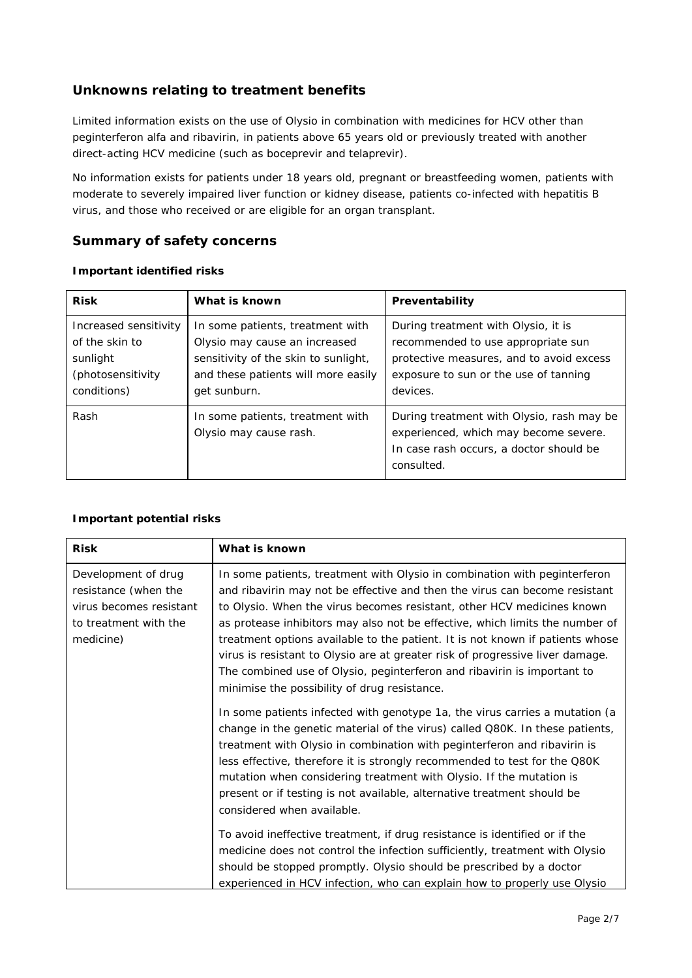## **Unknowns relating to treatment benefits**

Limited information exists on the use of Olysio in combination with medicines for HCV other than peginterferon alfa and ribavirin, in patients above 65 years old or previously treated with another direct-acting HCV medicine (such as boceprevir and telaprevir).

No information exists for patients under 18 years old, pregnant or breastfeeding women, patients with moderate to severely impaired liver function or kidney disease, patients co-infected with hepatitis B virus, and those who received or are eligible for an organ transplant.

### **Summary of safety concerns**

| <b>Risk</b>                                                                             | What is known                                                                                                                                                    | Preventability                                                                                                                                                             |  |  |
|-----------------------------------------------------------------------------------------|------------------------------------------------------------------------------------------------------------------------------------------------------------------|----------------------------------------------------------------------------------------------------------------------------------------------------------------------------|--|--|
| Increased sensitivity<br>of the skin to<br>sunlight<br>(photosensitivity<br>conditions) | In some patients, treatment with<br>Olysio may cause an increased<br>sensitivity of the skin to sunlight,<br>and these patients will more easily<br>get sunburn. | During treatment with Olysio, it is<br>recommended to use appropriate sun<br>protective measures, and to avoid excess<br>exposure to sun or the use of tanning<br>devices. |  |  |
| Rash                                                                                    | In some patients, treatment with<br>Olysio may cause rash.                                                                                                       | During treatment with Olysio, rash may be<br>experienced, which may become severe.<br>In case rash occurs, a doctor should be<br>consulted.                                |  |  |

#### *Important identified risks*

#### *Important potential risks*

| <b>Risk</b>                                                                                                  | What is known                                                                                                                                                                                                                                                                                                                                                                                                                                                                                                                                                                                                                                                                                                                                                                                                                                                                                                                                                                                                                                                                                                          |
|--------------------------------------------------------------------------------------------------------------|------------------------------------------------------------------------------------------------------------------------------------------------------------------------------------------------------------------------------------------------------------------------------------------------------------------------------------------------------------------------------------------------------------------------------------------------------------------------------------------------------------------------------------------------------------------------------------------------------------------------------------------------------------------------------------------------------------------------------------------------------------------------------------------------------------------------------------------------------------------------------------------------------------------------------------------------------------------------------------------------------------------------------------------------------------------------------------------------------------------------|
| Development of drug<br>resistance (when the<br>virus becomes resistant<br>to treatment with the<br>medicine) | In some patients, treatment with Olysio in combination with peginterferon<br>and ribavirin may not be effective and then the virus can become resistant<br>to Olysio. When the virus becomes resistant, other HCV medicines known<br>as protease inhibitors may also not be effective, which limits the number of<br>treatment options available to the patient. It is not known if patients whose<br>virus is resistant to Olysio are at greater risk of progressive liver damage.<br>The combined use of Olysio, peginterferon and ribavirin is important to<br>minimise the possibility of drug resistance.<br>In some patients infected with genotype 1a, the virus carries a mutation (a<br>change in the genetic material of the virus) called Q80K. In these patients,<br>treatment with Olysio in combination with peginterferon and ribavirin is<br>less effective, therefore it is strongly recommended to test for the Q80K<br>mutation when considering treatment with Olysio. If the mutation is<br>present or if testing is not available, alternative treatment should be<br>considered when available. |
|                                                                                                              | To avoid ineffective treatment, if drug resistance is identified or if the<br>medicine does not control the infection sufficiently, treatment with Olysio<br>should be stopped promptly. Olysio should be prescribed by a doctor<br>experienced in HCV infection, who can explain how to properly use Olysio                                                                                                                                                                                                                                                                                                                                                                                                                                                                                                                                                                                                                                                                                                                                                                                                           |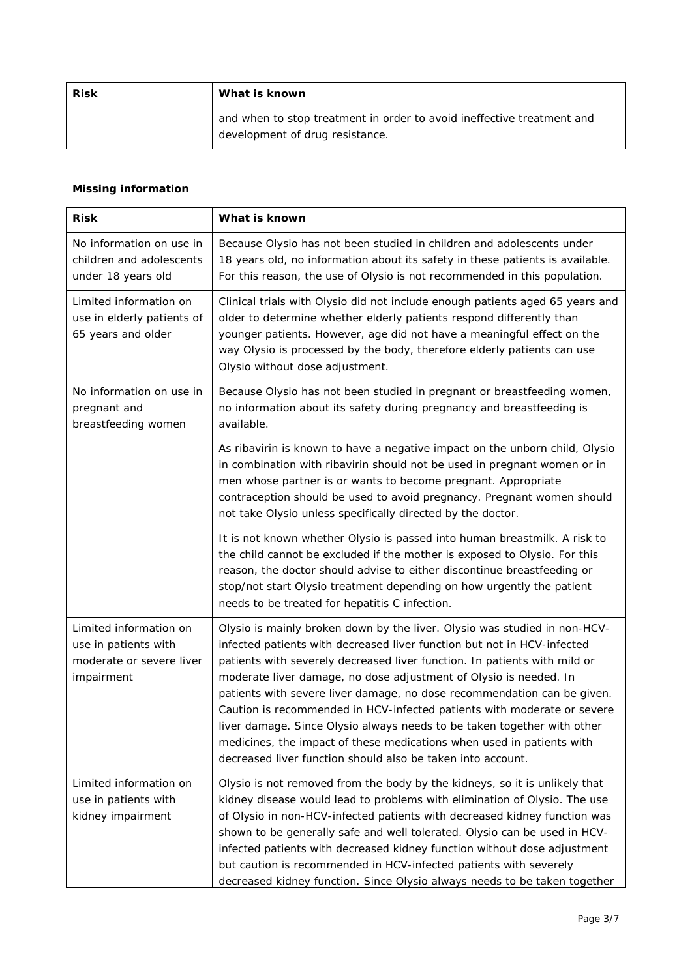| <b>Risk</b> | What is known                                                                                             |  |  |
|-------------|-----------------------------------------------------------------------------------------------------------|--|--|
|             | and when to stop treatment in order to avoid ineffective treatment and<br>development of drug resistance. |  |  |

## *Missing information*

| <b>Risk</b>                                                                              | What is known                                                                                                                                                                                                                                                                                                                                                                                                                                                                                                                                                                                                                                                                   |  |  |
|------------------------------------------------------------------------------------------|---------------------------------------------------------------------------------------------------------------------------------------------------------------------------------------------------------------------------------------------------------------------------------------------------------------------------------------------------------------------------------------------------------------------------------------------------------------------------------------------------------------------------------------------------------------------------------------------------------------------------------------------------------------------------------|--|--|
| No information on use in<br>children and adolescents<br>under 18 years old               | Because Olysio has not been studied in children and adolescents under<br>18 years old, no information about its safety in these patients is available.<br>For this reason, the use of Olysio is not recommended in this population.                                                                                                                                                                                                                                                                                                                                                                                                                                             |  |  |
| Limited information on<br>use in elderly patients of<br>65 years and older               | Clinical trials with Olysio did not include enough patients aged 65 years and<br>older to determine whether elderly patients respond differently than<br>younger patients. However, age did not have a meaningful effect on the<br>way Olysio is processed by the body, therefore elderly patients can use<br>Olysio without dose adjustment.                                                                                                                                                                                                                                                                                                                                   |  |  |
| No information on use in<br>pregnant and<br>breastfeeding women                          | Because Olysio has not been studied in pregnant or breastfeeding women,<br>no information about its safety during pregnancy and breastfeeding is<br>available.                                                                                                                                                                                                                                                                                                                                                                                                                                                                                                                  |  |  |
|                                                                                          | As ribavirin is known to have a negative impact on the unborn child, Olysio<br>in combination with ribavirin should not be used in pregnant women or in<br>men whose partner is or wants to become pregnant. Appropriate<br>contraception should be used to avoid pregnancy. Pregnant women should<br>not take Olysio unless specifically directed by the doctor.                                                                                                                                                                                                                                                                                                               |  |  |
|                                                                                          | It is not known whether Olysio is passed into human breastmilk. A risk to<br>the child cannot be excluded if the mother is exposed to Olysio. For this<br>reason, the doctor should advise to either discontinue breastfeeding or<br>stop/not start Olysio treatment depending on how urgently the patient<br>needs to be treated for hepatitis C infection.                                                                                                                                                                                                                                                                                                                    |  |  |
| Limited information on<br>use in patients with<br>moderate or severe liver<br>impairment | Olysio is mainly broken down by the liver. Olysio was studied in non-HCV-<br>infected patients with decreased liver function but not in HCV-infected<br>patients with severely decreased liver function. In patients with mild or<br>moderate liver damage, no dose adjustment of Olysio is needed. In<br>patients with severe liver damage, no dose recommendation can be given.<br>Caution is recommended in HCV-infected patients with moderate or severe<br>liver damage. Since Olysio always needs to be taken together with other<br>medicines, the impact of these medications when used in patients with<br>decreased liver function should also be taken into account. |  |  |
| Limited information on<br>use in patients with<br>kidney impairment                      | Olysio is not removed from the body by the kidneys, so it is unlikely that<br>kidney disease would lead to problems with elimination of Olysio. The use<br>of Olysio in non-HCV-infected patients with decreased kidney function was<br>shown to be generally safe and well tolerated. Olysio can be used in HCV-<br>infected patients with decreased kidney function without dose adjustment<br>but caution is recommended in HCV-infected patients with severely<br>decreased kidney function. Since Olysio always needs to be taken together                                                                                                                                 |  |  |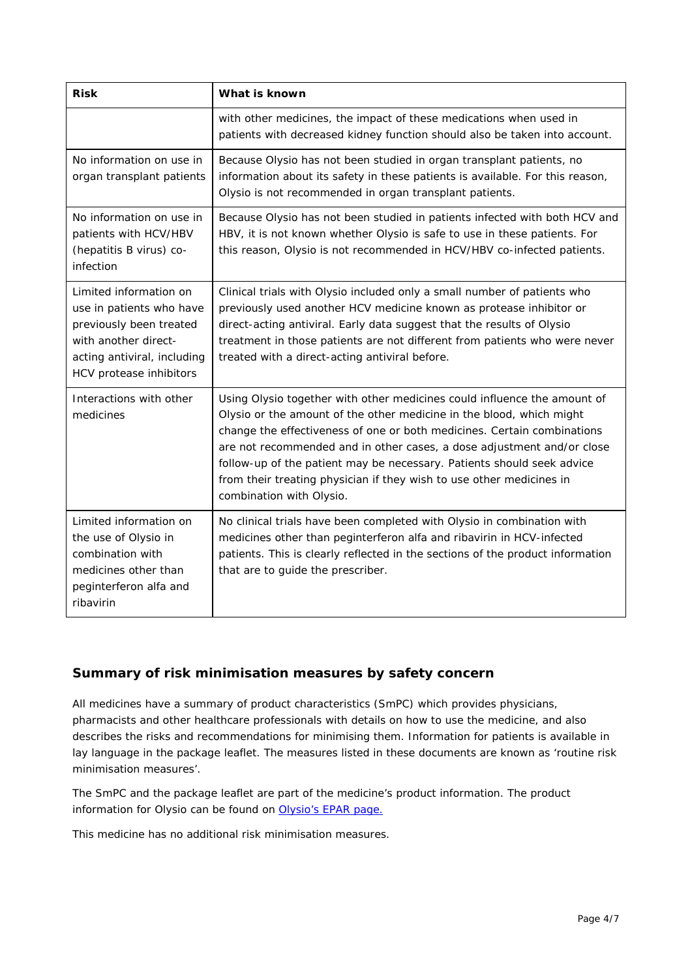| <b>Risk</b>                                                                                                                                                     | What is known                                                                                                                                                                                                                                                                                                                                                                                                                                                                       |  |  |
|-----------------------------------------------------------------------------------------------------------------------------------------------------------------|-------------------------------------------------------------------------------------------------------------------------------------------------------------------------------------------------------------------------------------------------------------------------------------------------------------------------------------------------------------------------------------------------------------------------------------------------------------------------------------|--|--|
|                                                                                                                                                                 | with other medicines, the impact of these medications when used in<br>patients with decreased kidney function should also be taken into account.                                                                                                                                                                                                                                                                                                                                    |  |  |
| No information on use in<br>organ transplant patients                                                                                                           | Because Olysio has not been studied in organ transplant patients, no<br>information about its safety in these patients is available. For this reason,<br>Olysio is not recommended in organ transplant patients.                                                                                                                                                                                                                                                                    |  |  |
| No information on use in<br>patients with HCV/HBV<br>(hepatitis B virus) co-<br>infection                                                                       | Because Olysio has not been studied in patients infected with both HCV and<br>HBV, it is not known whether Olysio is safe to use in these patients. For<br>this reason, Olysio is not recommended in HCV/HBV co-infected patients.                                                                                                                                                                                                                                                  |  |  |
| Limited information on<br>use in patients who have<br>previously been treated<br>with another direct-<br>acting antiviral, including<br>HCV protease inhibitors | Clinical trials with Olysio included only a small number of patients who<br>previously used another HCV medicine known as protease inhibitor or<br>direct-acting antiviral. Early data suggest that the results of Olysio<br>treatment in those patients are not different from patients who were never<br>treated with a direct-acting antiviral before.                                                                                                                           |  |  |
| Interactions with other<br>medicines                                                                                                                            | Using Olysio together with other medicines could influence the amount of<br>Olysio or the amount of the other medicine in the blood, which might<br>change the effectiveness of one or both medicines. Certain combinations<br>are not recommended and in other cases, a dose adjustment and/or close<br>follow-up of the patient may be necessary. Patients should seek advice<br>from their treating physician if they wish to use other medicines in<br>combination with Olysio. |  |  |
| Limited information on<br>the use of Olysio in<br>combination with<br>medicines other than<br>peginterferon alfa and<br>ribavirin                               | No clinical trials have been completed with Olysio in combination with<br>medicines other than peginterferon alfa and ribavirin in HCV-infected<br>patients. This is clearly reflected in the sections of the product information<br>that are to guide the prescriber.                                                                                                                                                                                                              |  |  |

## **Summary of risk minimisation measures by safety concern**

All medicines have a summary of product characteristics (SmPC) which provides physicians, pharmacists and other healthcare professionals with details on how to use the medicine, and also describes the risks and recommendations for minimising them. Information for patients is available in lay language in the package leaflet. The measures listed in these documents are known as 'routine risk minimisation measures'.

The SmPC and the package leaflet are part of the medicine's product information. The product information for Olysio can be found on [Olysio's EPAR page.](http://www.ema.europa.eu/ema/index.jsp?curl=/pages/medicines/human/medicines/002777/human_med_001766.jsp)

This medicine has no additional risk minimisation measures.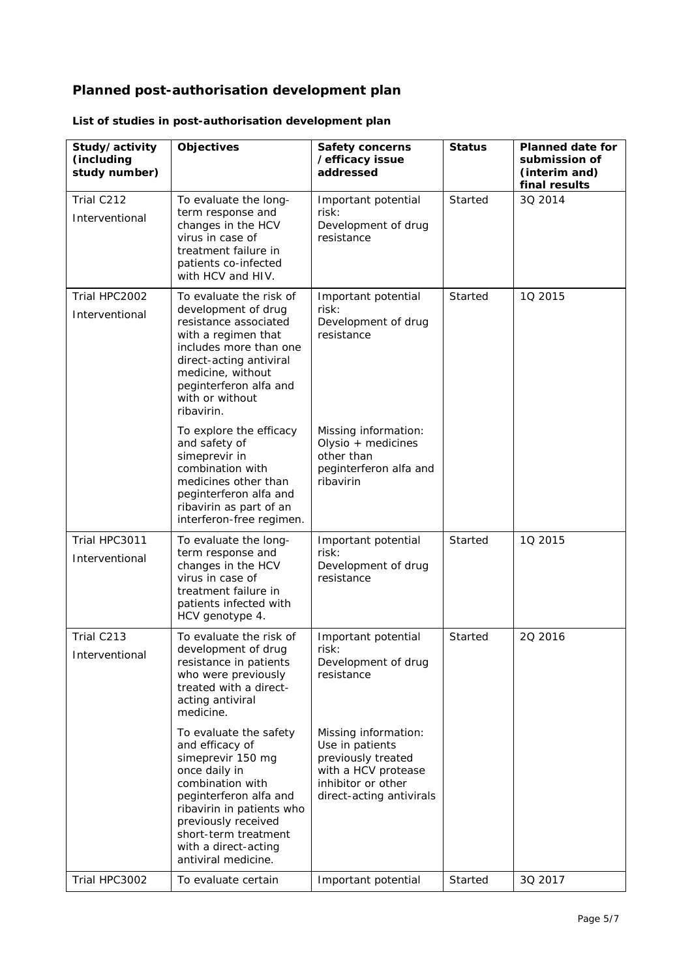# **Planned post-authorisation development plan**

| Study/activity<br>(including<br>study number) | Objectives                                                                                                                                                                                                                                               | <b>Safety concerns</b><br>/efficacy issue<br>addressed                                                                                 | <b>Status</b> | <b>Planned date for</b><br>submission of<br>(interim and)<br>final results |
|-----------------------------------------------|----------------------------------------------------------------------------------------------------------------------------------------------------------------------------------------------------------------------------------------------------------|----------------------------------------------------------------------------------------------------------------------------------------|---------------|----------------------------------------------------------------------------|
| Trial C212<br>Interventional                  | To evaluate the long-<br>term response and<br>changes in the HCV<br>virus in case of<br>treatment failure in<br>patients co-infected<br>with HCV and HIV.                                                                                                | Important potential<br>risk:<br>Development of drug<br>resistance                                                                      | Started       | 30 2014                                                                    |
| Trial HPC2002<br>Interventional               | To evaluate the risk of<br>development of drug<br>resistance associated<br>with a regimen that<br>includes more than one<br>direct-acting antiviral<br>medicine, without<br>peginterferon alfa and<br>with or without<br>ribavirin.                      | Important potential<br>risk:<br>Development of drug<br>resistance                                                                      | Started       | 10 2015                                                                    |
|                                               | To explore the efficacy<br>and safety of<br>simeprevir in<br>combination with<br>medicines other than<br>peginterferon alfa and<br>ribavirin as part of an<br>interferon-free regimen.                                                                   | Missing information:<br>Olysio + medicines<br>other than<br>peginterferon alfa and<br>ribavirin                                        |               |                                                                            |
| Trial HPC3011<br>Interventional               | To evaluate the long-<br>term response and<br>changes in the HCV<br>virus in case of<br>treatment failure in<br>patients infected with<br>HCV genotype 4.                                                                                                | Important potential<br>risk:<br>Development of drug<br>resistance                                                                      | Started       | 1Q 2015                                                                    |
| Trial C213<br>Interventional                  | To evaluate the risk of<br>development of drug<br>resistance in patients<br>who were previously<br>treated with a direct-<br>acting antiviral<br>medicine.                                                                                               | Important potential<br>risk:<br>Development of drug<br>resistance                                                                      | Started       | 20 2016                                                                    |
|                                               | To evaluate the safety<br>and efficacy of<br>simeprevir 150 mg<br>once daily in<br>combination with<br>peginterferon alfa and<br>ribavirin in patients who<br>previously received<br>short-term treatment<br>with a direct-acting<br>antiviral medicine. | Missing information:<br>Use in patients<br>previously treated<br>with a HCV protease<br>inhibitor or other<br>direct-acting antivirals |               |                                                                            |
| Trial HPC3002                                 | To evaluate certain                                                                                                                                                                                                                                      | Important potential                                                                                                                    | Started       | 3Q 2017                                                                    |

## *List of studies in post-authorisation development plan*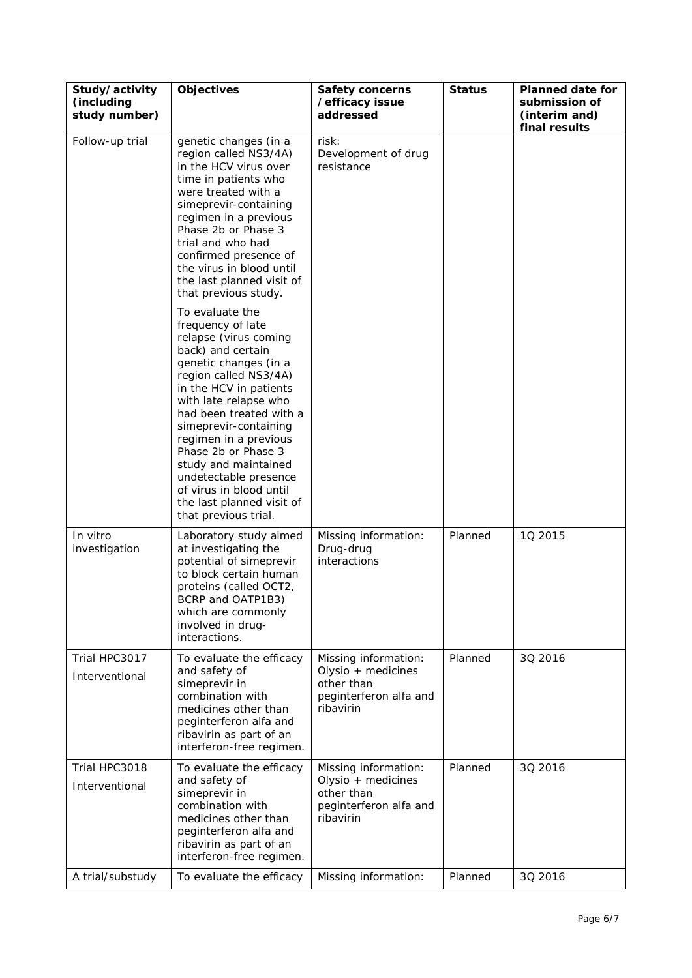| Study/activity<br>(including<br>study number) | <b>Objectives</b>                                                                                                                                                                                                                                                                                                                                                                                                            | <b>Safety concerns</b><br>/efficacy issue<br>addressed                                          | <b>Status</b> | <b>Planned date for</b><br>submission of<br>(interim and)<br>final results |
|-----------------------------------------------|------------------------------------------------------------------------------------------------------------------------------------------------------------------------------------------------------------------------------------------------------------------------------------------------------------------------------------------------------------------------------------------------------------------------------|-------------------------------------------------------------------------------------------------|---------------|----------------------------------------------------------------------------|
| Follow-up trial                               | genetic changes (in a<br>region called NS3/4A)<br>in the HCV virus over<br>time in patients who<br>were treated with a<br>simeprevir-containing<br>regimen in a previous<br>Phase 2b or Phase 3<br>trial and who had<br>confirmed presence of<br>the virus in blood until<br>the last planned visit of<br>that previous study.                                                                                               | risk:<br>Development of drug<br>resistance                                                      |               |                                                                            |
|                                               | To evaluate the<br>frequency of late<br>relapse (virus coming<br>back) and certain<br>genetic changes (in a<br>region called NS3/4A)<br>in the HCV in patients<br>with late relapse who<br>had been treated with a<br>simeprevir-containing<br>regimen in a previous<br>Phase 2b or Phase 3<br>study and maintained<br>undetectable presence<br>of virus in blood until<br>the last planned visit of<br>that previous trial. |                                                                                                 |               |                                                                            |
| In vitro<br>investigation                     | Laboratory study aimed<br>at investigating the<br>potential of simeprevir<br>to block certain human<br>proteins (called OCT2,<br>BCRP and OATP1B3)<br>which are commonly<br>involved in drug-<br>interactions.                                                                                                                                                                                                               | Missing information:<br>Drug-drug<br>interactions                                               | Planned       | 1Q 2015                                                                    |
| Trial HPC3017<br>Interventional               | To evaluate the efficacy<br>and safety of<br>simeprevir in<br>combination with<br>medicines other than<br>peginterferon alfa and<br>ribavirin as part of an<br>interferon-free regimen.                                                                                                                                                                                                                                      | Missing information:<br>Olysio + medicines<br>other than<br>peginterferon alfa and<br>ribavirin | Planned       | 30 2016                                                                    |
| Trial HPC3018<br>Interventional               | To evaluate the efficacy<br>and safety of<br>simeprevir in<br>combination with<br>medicines other than<br>peginterferon alfa and<br>ribavirin as part of an<br>interferon-free regimen.                                                                                                                                                                                                                                      | Missing information:<br>Olysio + medicines<br>other than<br>peginterferon alfa and<br>ribavirin | Planned       | 3Q 2016                                                                    |
| A trial/substudy                              | To evaluate the efficacy                                                                                                                                                                                                                                                                                                                                                                                                     | Missing information:                                                                            | Planned       | 3Q 2016                                                                    |